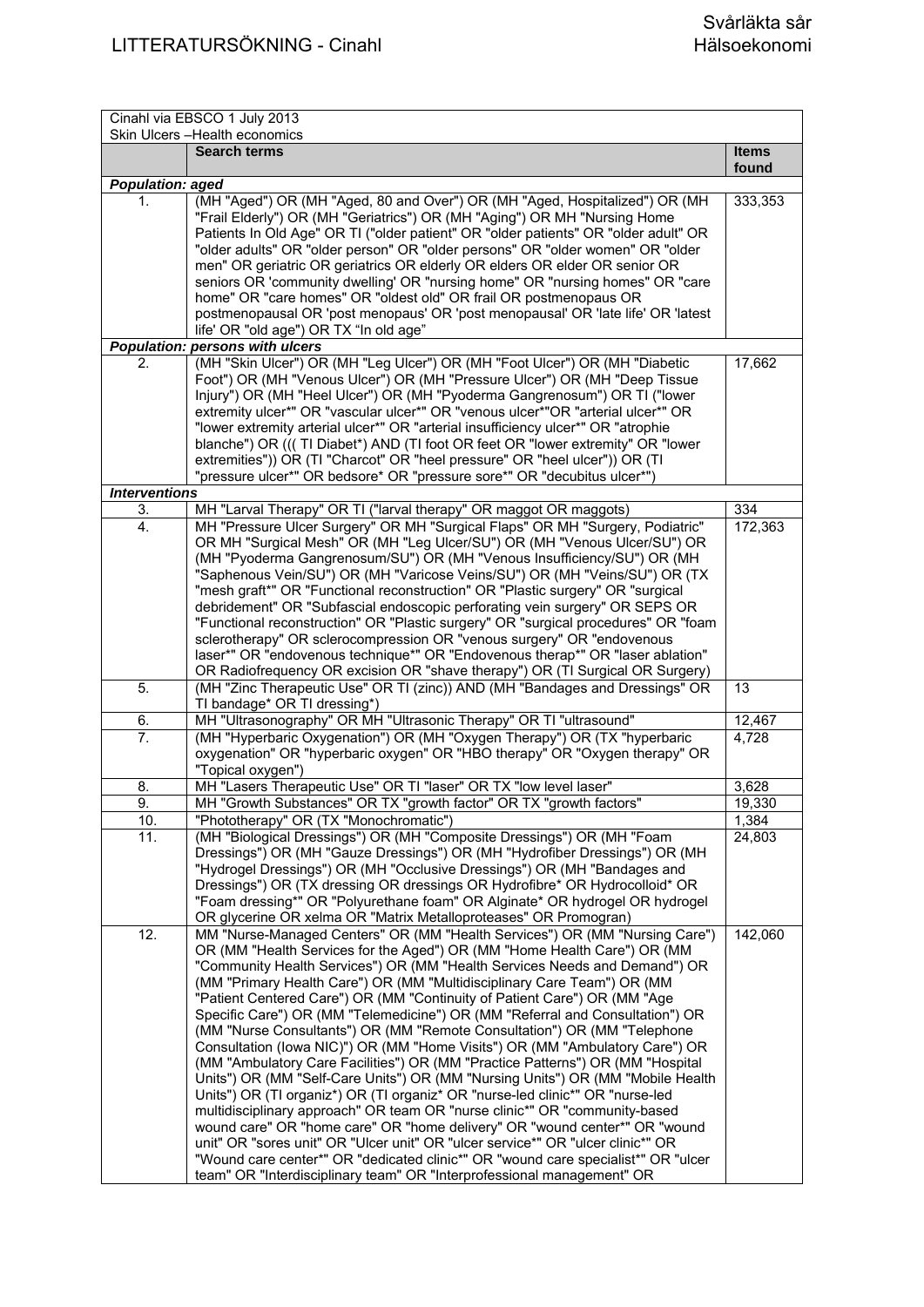| Cinahl via EBSCO 1 July 2013<br>Skin Ulcers - Health economics |                                                                                                                                                                                                                                                                                                                                                                                                                                                                                                                                                                                                                                                                                                                                                                                                                                                                                                                                                                                                                                                                                                                                                                                                                                                                                                                |                       |
|----------------------------------------------------------------|----------------------------------------------------------------------------------------------------------------------------------------------------------------------------------------------------------------------------------------------------------------------------------------------------------------------------------------------------------------------------------------------------------------------------------------------------------------------------------------------------------------------------------------------------------------------------------------------------------------------------------------------------------------------------------------------------------------------------------------------------------------------------------------------------------------------------------------------------------------------------------------------------------------------------------------------------------------------------------------------------------------------------------------------------------------------------------------------------------------------------------------------------------------------------------------------------------------------------------------------------------------------------------------------------------------|-----------------------|
|                                                                | <b>Search terms</b>                                                                                                                                                                                                                                                                                                                                                                                                                                                                                                                                                                                                                                                                                                                                                                                                                                                                                                                                                                                                                                                                                                                                                                                                                                                                                            | <b>Items</b><br>found |
| <b>Population: aged</b>                                        |                                                                                                                                                                                                                                                                                                                                                                                                                                                                                                                                                                                                                                                                                                                                                                                                                                                                                                                                                                                                                                                                                                                                                                                                                                                                                                                |                       |
| 1.                                                             | (MH "Aged") OR (MH "Aged, 80 and Over") OR (MH "Aged, Hospitalized") OR (MH<br>"Frail Elderly") OR (MH "Geriatrics") OR (MH "Aging") OR MH "Nursing Home<br>Patients In Old Age" OR TI ("older patient" OR "older patients" OR "older adult" OR<br>"older adults" OR "older person" OR "older persons" OR "older women" OR "older<br>men" OR geriatric OR geriatrics OR elderly OR elders OR elder OR senior OR<br>seniors OR 'community dwelling' OR "nursing home" OR "nursing homes" OR "care                                                                                                                                                                                                                                                                                                                                                                                                                                                                                                                                                                                                                                                                                                                                                                                                               | 333,353               |
|                                                                | home" OR "care homes" OR "oldest old" OR frail OR postmenopaus OR<br>postmenopausal OR 'post menopaus' OR 'post menopausal' OR 'late life' OR 'latest<br>life' OR "old age") OR TX "In old age"                                                                                                                                                                                                                                                                                                                                                                                                                                                                                                                                                                                                                                                                                                                                                                                                                                                                                                                                                                                                                                                                                                                |                       |
|                                                                | <b>Population: persons with ulcers</b>                                                                                                                                                                                                                                                                                                                                                                                                                                                                                                                                                                                                                                                                                                                                                                                                                                                                                                                                                                                                                                                                                                                                                                                                                                                                         |                       |
| 2.                                                             | (MH "Skin Ulcer") OR (MH "Leg Ulcer") OR (MH "Foot Ulcer") OR (MH "Diabetic                                                                                                                                                                                                                                                                                                                                                                                                                                                                                                                                                                                                                                                                                                                                                                                                                                                                                                                                                                                                                                                                                                                                                                                                                                    | 17,662                |
|                                                                | Foot") OR (MH "Venous Ulcer") OR (MH "Pressure Ulcer") OR (MH "Deep Tissue<br>Injury") OR (MH "Heel Ulcer") OR (MH "Pyoderma Gangrenosum") OR TI ("lower<br>extremity ulcer*" OR "vascular ulcer*" OR "venous ulcer*"OR "arterial ulcer*" OR<br>"lower extremity arterial ulcer*" OR "arterial insufficiency ulcer*" OR "atrophie<br>blanche") OR (((TI Diabet*) AND (TI foot OR feet OR "lower extremity" OR "lower<br>extremities")) OR (TI "Charcot" OR "heel pressure" OR "heel ulcer")) OR (TI<br>"pressure ulcer*" OR bedsore* OR "pressure sore*" OR "decubitus ulcer*")                                                                                                                                                                                                                                                                                                                                                                                                                                                                                                                                                                                                                                                                                                                                |                       |
| <b>Interventions</b>                                           |                                                                                                                                                                                                                                                                                                                                                                                                                                                                                                                                                                                                                                                                                                                                                                                                                                                                                                                                                                                                                                                                                                                                                                                                                                                                                                                |                       |
| 3.                                                             | MH "Larval Therapy" OR TI ("larval therapy" OR maggot OR maggots)                                                                                                                                                                                                                                                                                                                                                                                                                                                                                                                                                                                                                                                                                                                                                                                                                                                                                                                                                                                                                                                                                                                                                                                                                                              | 334                   |
| 4.                                                             | MH "Pressure Ulcer Surgery" OR MH "Surgical Flaps" OR MH "Surgery, Podiatric"<br>OR MH "Surgical Mesh" OR (MH "Leg Ulcer/SU") OR (MH "Venous Ulcer/SU") OR<br>(MH "Pyoderma Gangrenosum/SU") OR (MH "Venous Insufficiency/SU") OR (MH<br>"Saphenous Vein/SU") OR (MH "Varicose Veins/SU") OR (MH "Veins/SU") OR (TX<br>"mesh graft*" OR "Functional reconstruction" OR "Plastic surgery" OR "surgical<br>debridement" OR "Subfascial endoscopic perforating vein surgery" OR SEPS OR<br>"Functional reconstruction" OR "Plastic surgery" OR "surgical procedures" OR "foam<br>sclerotherapy" OR sclerocompression OR "venous surgery" OR "endovenous                                                                                                                                                                                                                                                                                                                                                                                                                                                                                                                                                                                                                                                           | 172,363               |
|                                                                | laser*" OR "endovenous technique*" OR "Endovenous therap*" OR "laser ablation"<br>OR Radiofrequency OR excision OR "shave therapy") OR (TI Surgical OR Surgery)                                                                                                                                                                                                                                                                                                                                                                                                                                                                                                                                                                                                                                                                                                                                                                                                                                                                                                                                                                                                                                                                                                                                                |                       |
| 5.                                                             | (MH "Zinc Therapeutic Use" OR TI (zinc)) AND (MH "Bandages and Dressings" OR<br>TI bandage* OR TI dressing*)                                                                                                                                                                                                                                                                                                                                                                                                                                                                                                                                                                                                                                                                                                                                                                                                                                                                                                                                                                                                                                                                                                                                                                                                   | 13                    |
| 6.                                                             | MH "Ultrasonography" OR MH "Ultrasonic Therapy" OR TI "ultrasound"                                                                                                                                                                                                                                                                                                                                                                                                                                                                                                                                                                                                                                                                                                                                                                                                                                                                                                                                                                                                                                                                                                                                                                                                                                             | 12,467                |
| 7.                                                             | (MH "Hyperbaric Oxygenation") OR (MH "Oxygen Therapy") OR (TX "hyperbaric<br>oxygenation" OR "hyperbaric oxygen" OR "HBO therapy" OR "Oxygen therapy" OR<br>"Topical oxygen")                                                                                                                                                                                                                                                                                                                                                                                                                                                                                                                                                                                                                                                                                                                                                                                                                                                                                                                                                                                                                                                                                                                                  | 4,728                 |
| 8.                                                             | MH "Lasers Therapeutic Use" OR TI "laser" OR TX "low level laser"                                                                                                                                                                                                                                                                                                                                                                                                                                                                                                                                                                                                                                                                                                                                                                                                                                                                                                                                                                                                                                                                                                                                                                                                                                              | 3,628                 |
| 9.                                                             | MH "Growth Substances" OR TX "growth factor" OR TX "growth factors"                                                                                                                                                                                                                                                                                                                                                                                                                                                                                                                                                                                                                                                                                                                                                                                                                                                                                                                                                                                                                                                                                                                                                                                                                                            | 19,330                |
| 10.                                                            | "Phototherapy" OR (TX "Monochromatic")                                                                                                                                                                                                                                                                                                                                                                                                                                                                                                                                                                                                                                                                                                                                                                                                                                                                                                                                                                                                                                                                                                                                                                                                                                                                         | 1,384                 |
| 11.                                                            | (MH "Biological Dressings") OR (MH "Composite Dressings") OR (MH "Foam<br>Dressings") OR (MH "Gauze Dressings") OR (MH "Hydrofiber Dressings") OR (MH<br>"Hydrogel Dressings") OR (MH "Occlusive Dressings") OR (MH "Bandages and<br>Dressings") OR (TX dressing OR dressings OR Hydrofibre* OR Hydrocolloid* OR<br>"Foam dressing*" OR "Polyurethane foam" OR Alginate* OR hydrogel OR hydrogel<br>OR glycerine OR xelma OR "Matrix Metalloproteases" OR Promogran)                                                                                                                                                                                                                                                                                                                                                                                                                                                                                                                                                                                                                                                                                                                                                                                                                                           | 24,803                |
| 12.                                                            | MM "Nurse-Managed Centers" OR (MM "Health Services") OR (MM "Nursing Care")<br>OR (MM "Health Services for the Aged") OR (MM "Home Health Care") OR (MM<br>"Community Health Services") OR (MM "Health Services Needs and Demand") OR<br>(MM "Primary Health Care") OR (MM "Multidisciplinary Care Team") OR (MM<br>"Patient Centered Care") OR (MM "Continuity of Patient Care") OR (MM "Age<br>Specific Care") OR (MM "Telemedicine") OR (MM "Referral and Consultation") OR<br>(MM "Nurse Consultants") OR (MM "Remote Consultation") OR (MM "Telephone<br>Consultation (lowa NIC)") OR (MM "Home Visits") OR (MM "Ambulatory Care") OR<br>(MM "Ambulatory Care Facilities") OR (MM "Practice Patterns") OR (MM "Hospital<br>Units") OR (MM "Self-Care Units") OR (MM "Nursing Units") OR (MM "Mobile Health<br>Units") OR (TI organiz*) OR (TI organiz* OR "nurse-led clinic*" OR "nurse-led<br>multidisciplinary approach" OR team OR "nurse clinic*" OR "community-based<br>wound care" OR "home care" OR "home delivery" OR "wound center*" OR "wound<br>unit" OR "sores unit" OR "Ulcer unit" OR "ulcer service*" OR "ulcer clinic*" OR<br>"Wound care center*" OR "dedicated clinic*" OR "wound care specialist*" OR "ulcer<br>team" OR "Interdisciplinary team" OR "Interprofessional management" OR | 142,060               |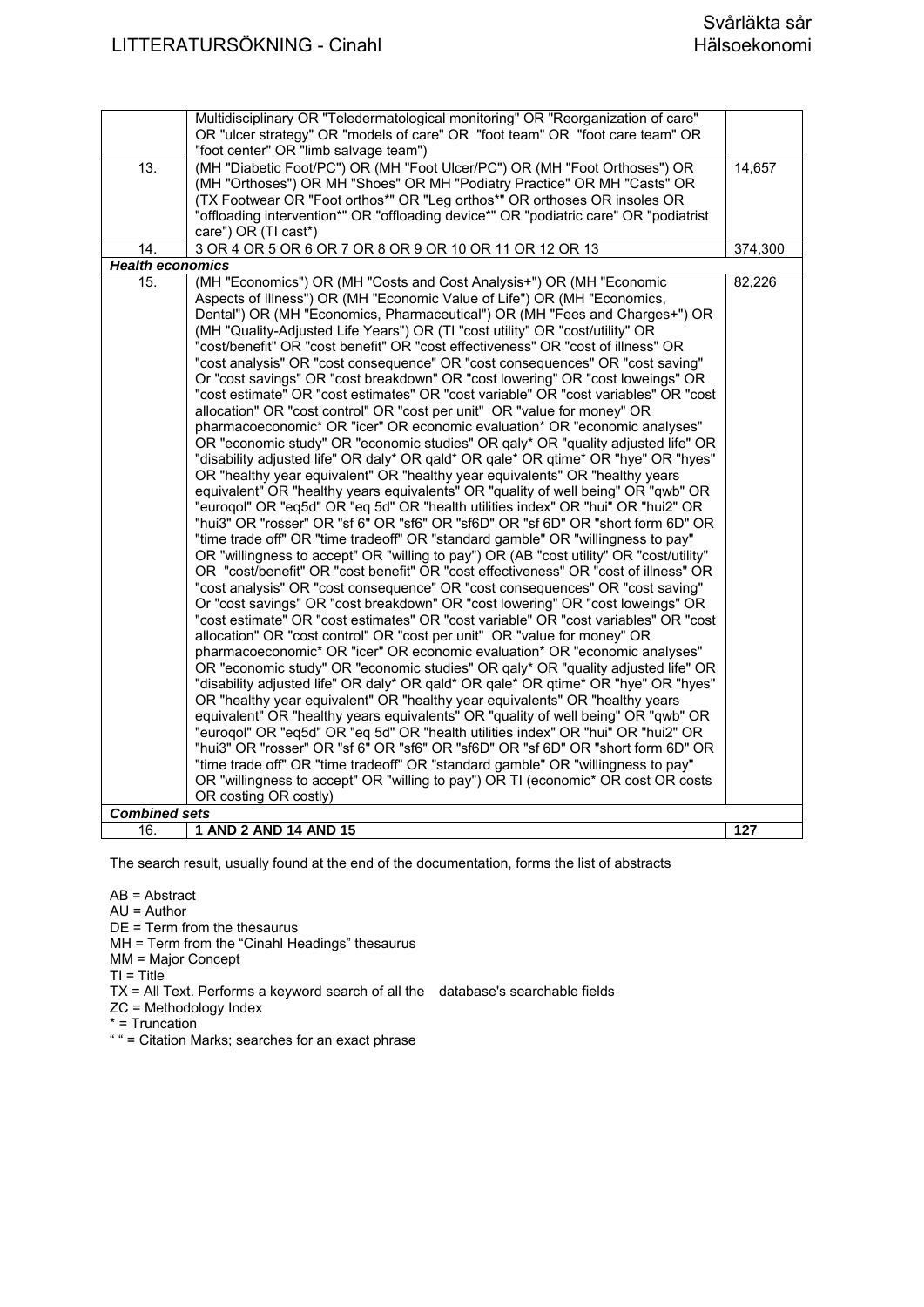|                         | Multidisciplinary OR "Teledermatological monitoring" OR "Reorganization of care"<br>OR "ulcer strategy" OR "models of care" OR "foot team" OR "foot care team" OR<br>"foot center" OR "limb salvage team") |         |
|-------------------------|------------------------------------------------------------------------------------------------------------------------------------------------------------------------------------------------------------|---------|
| $\overline{13}$ .       | (MH "Diabetic Foot/PC") OR (MH "Foot Ulcer/PC") OR (MH "Foot Orthoses") OR<br>(MH "Orthoses") OR MH "Shoes" OR MH "Podiatry Practice" OR MH "Casts" OR                                                     | 14,657  |
|                         | (TX Footwear OR "Foot orthos*" OR "Leg orthos*" OR orthoses OR insoles OR<br>"offloading intervention*" OR "offloading device*" OR "podiatric care" OR "podiatrist                                         |         |
| 14.                     | care") OR (TI cast*)<br>3 OR 4 OR 5 OR 6 OR 7 OR 8 OR 9 OR 10 OR 11 OR 12 OR 13                                                                                                                            | 374,300 |
| <b>Health economics</b> |                                                                                                                                                                                                            |         |
| 15.                     | (MH "Economics") OR (MH "Costs and Cost Analysis+") OR (MH "Economic                                                                                                                                       | 82,226  |
|                         | Aspects of Illness") OR (MH "Economic Value of Life") OR (MH "Economics,                                                                                                                                   |         |
|                         | Dental") OR (MH "Economics, Pharmaceutical") OR (MH "Fees and Charges+") OR<br>(MH "Quality-Adjusted Life Years") OR (TI "cost utility" OR "cost/utility" OR                                               |         |
|                         | "cost/benefit" OR "cost benefit" OR "cost effectiveness" OR "cost of illness" OR                                                                                                                           |         |
|                         | "cost analysis" OR "cost consequence" OR "cost consequences" OR "cost saving"                                                                                                                              |         |
|                         | Or "cost savings" OR "cost breakdown" OR "cost lowering" OR "cost loweings" OR                                                                                                                             |         |
|                         | "cost estimate" OR "cost estimates" OR "cost variable" OR "cost variables" OR "cost<br>allocation" OR "cost control" OR "cost per unit" OR "value for money" OR                                            |         |
|                         | pharmacoeconomic* OR "icer" OR economic evaluation* OR "economic analyses"                                                                                                                                 |         |
|                         | OR "economic study" OR "economic studies" OR galy* OR "quality adjusted life" OR                                                                                                                           |         |
|                         | "disability adjusted life" OR daly* OR qald* OR qale* OR qtime* OR "hye" OR "hyes"                                                                                                                         |         |
|                         | OR "healthy year equivalent" OR "healthy year equivalents" OR "healthy years<br>equivalent" OR "healthy years equivalents" OR "quality of well being" OR "qwb" OR                                          |         |
|                         | "eurogol" OR "eq5d" OR "eq 5d" OR "health utilities index" OR "hui" OR "hui2" OR                                                                                                                           |         |
|                         | "hui3" OR "rosser" OR "sf 6" OR "sf6" OR "sf6D" OR "sf 6D" OR "short form 6D" OR                                                                                                                           |         |
|                         | "time trade off" OR "time tradeoff" OR "standard gamble" OR "willingness to pay"                                                                                                                           |         |
|                         | OR "willingness to accept" OR "willing to pay") OR (AB "cost utility" OR "cost/utility"                                                                                                                    |         |
|                         | OR "cost/benefit" OR "cost benefit" OR "cost effectiveness" OR "cost of illness" OR<br>"cost analysis" OR "cost consequence" OR "cost consequences" OR "cost saving"                                       |         |
|                         | Or "cost savings" OR "cost breakdown" OR "cost lowering" OR "cost loweings" OR                                                                                                                             |         |
|                         | "cost estimate" OR "cost estimates" OR "cost variable" OR "cost variables" OR "cost                                                                                                                        |         |
|                         | allocation" OR "cost control" OR "cost per unit" OR "value for money" OR                                                                                                                                   |         |
|                         | pharmacoeconomic* OR "icer" OR economic evaluation* OR "economic analyses"                                                                                                                                 |         |
|                         | OR "economic study" OR "economic studies" OR galy* OR "quality adjusted life" OR<br>"disability adjusted life" OR daly* OR qald* OR qale* OR qtime* OR "hye" OR "hyes"                                     |         |
|                         | OR "healthy year equivalent" OR "healthy year equivalents" OR "healthy years                                                                                                                               |         |
|                         | equivalent" OR "healthy years equivalents" OR "quality of well being" OR "qwb" OR                                                                                                                          |         |
|                         | "eurogol" OR "eq5d" OR "eq 5d" OR "health utilities index" OR "hui" OR "hui2" OR                                                                                                                           |         |
|                         | "hui3" OR "rosser" OR "sf 6" OR "sf6" OR "sf6D" OR "sf 6D" OR "short form 6D" OR<br>"time trade off" OR "time tradeoff" OR "standard gamble" OR "willingness to pay"                                       |         |
|                         | OR "willingness to accept" OR "willing to pay") OR TI (economic* OR cost OR costs                                                                                                                          |         |
|                         | OR costing OR costly)                                                                                                                                                                                      |         |
| <b>Combined sets</b>    |                                                                                                                                                                                                            |         |
| 16.                     | 1 AND 2 AND 14 AND 15                                                                                                                                                                                      | 127     |

The search result, usually found at the end of the documentation, forms the list of abstracts

AB = Abstract

- AU = Author
- DE = Term from the thesaurus
- MH = Term from the "Cinahl Headings" thesaurus
- MM = Major Concept
- $TI = Title$

TX = All Text. Performs a keyword search of all the database's searchable fields

- ZC = Methodology Index
- \* = Truncation
- " " = Citation Marks; searches for an exact phrase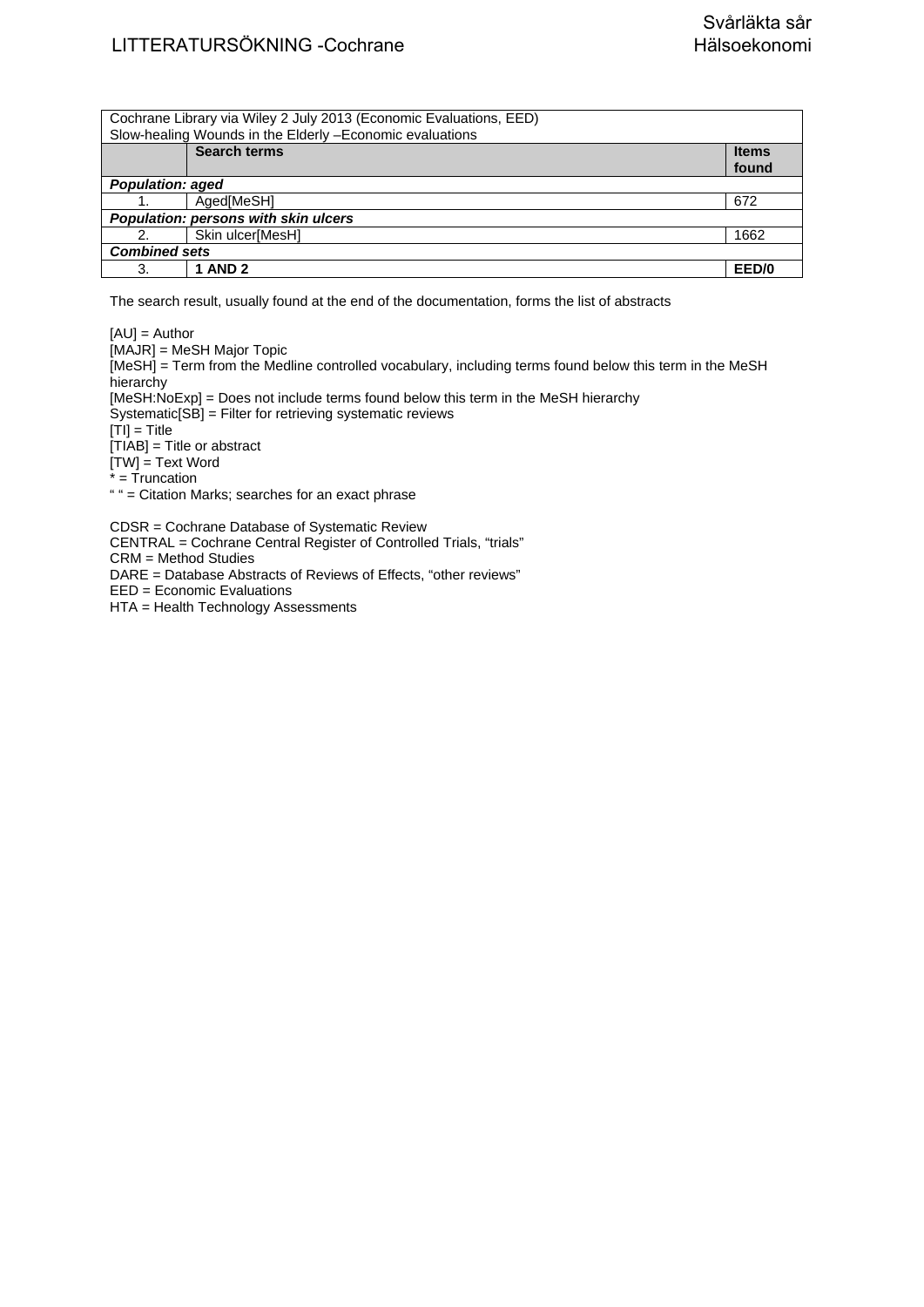## LITTERATURSÖKNING -Cochrane Svårläkta sår<br>LITTERATURSÖKNING -Cochrane Svårläkta sår

| Cochrane Library via Wiley 2 July 2013 (Economic Evaluations, EED) |              |  |
|--------------------------------------------------------------------|--------------|--|
| Slow-healing Wounds in the Elderly - Economic evaluations          |              |  |
| <b>Search terms</b>                                                | <b>Items</b> |  |
|                                                                    | found        |  |
| <b>Population: aged</b>                                            |              |  |
| Aged[MeSH]                                                         | 672          |  |
| Population: persons with skin ulcers                               |              |  |
| Skin ulcer[MesH]<br>2.                                             | 1662         |  |
| <b>Combined sets</b>                                               |              |  |
| <b>1 AND 2</b><br>3.                                               | EED/0        |  |

The search result, usually found at the end of the documentation, forms the list of abstracts

[AU] = Author [MAJR] = MeSH Major Topic [MeSH] = Term from the Medline controlled vocabulary, including terms found below this term in the MeSH hierarchy [MeSH:NoExp] = Does not include terms found below this term in the MeSH hierarchy Systematic[SB] = Filter for retrieving systematic reviews  $[TI] = Title$ [TIAB] = Title or abstract [TW] = Text Word  $* = \overline{T}$ runcation " " = Citation Marks; searches for an exact phrase CDSR = Cochrane Database of Systematic Review

CENTRAL = Cochrane Central Register of Controlled Trials, "trials" CRM = Method Studies

DARE = Database Abstracts of Reviews of Effects, "other reviews"

EED = Economic Evaluations

HTA = Health Technology Assessments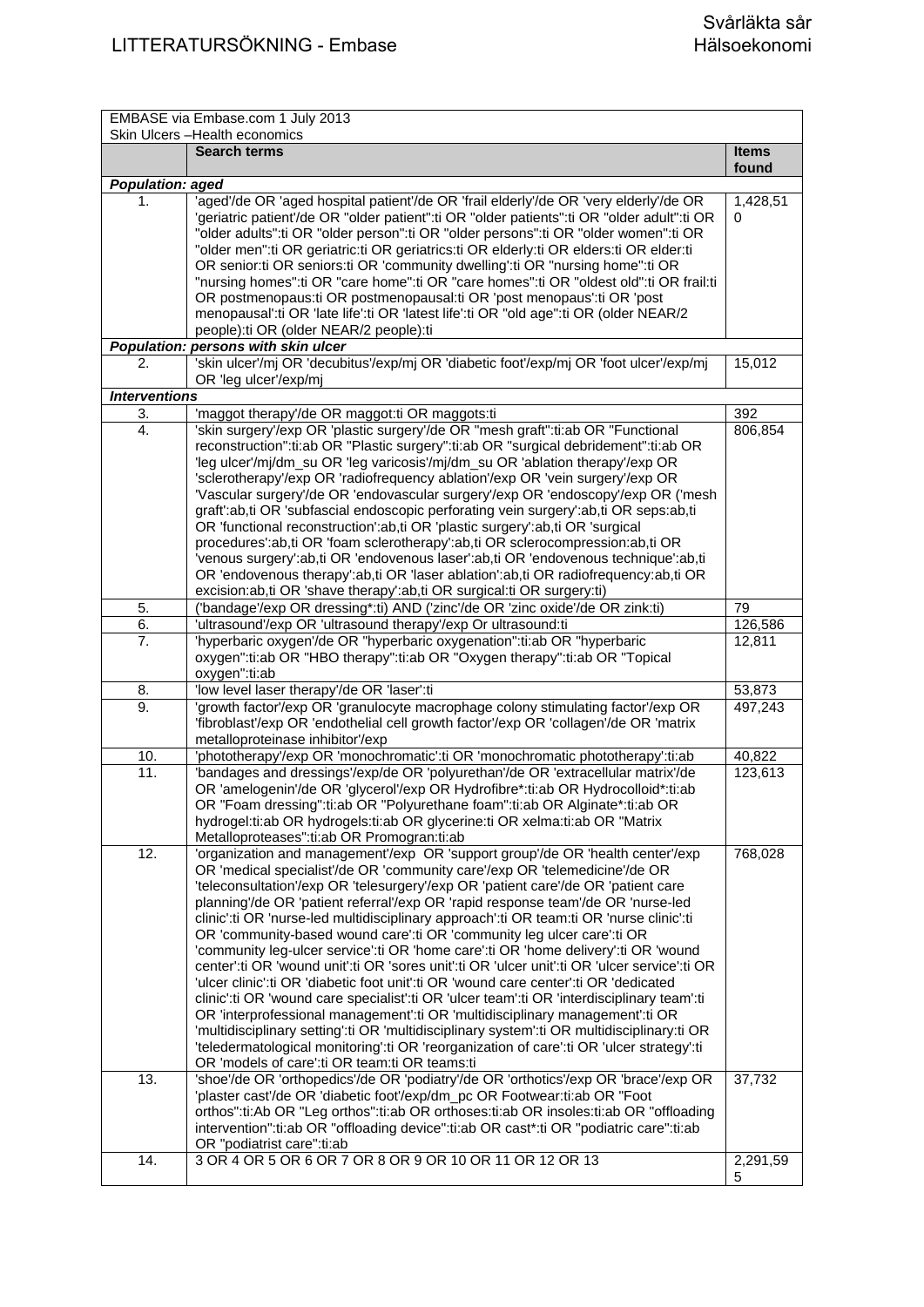|                            | EMBASE via Embase.com 1 July 2013                                                                                                                                                                                                                                                                                                                                                                                                                                                                                                                                                                                                                                                                                                                                                                                                                                                                                                                                                                                                                                                                                                                                                                                |               |
|----------------------------|------------------------------------------------------------------------------------------------------------------------------------------------------------------------------------------------------------------------------------------------------------------------------------------------------------------------------------------------------------------------------------------------------------------------------------------------------------------------------------------------------------------------------------------------------------------------------------------------------------------------------------------------------------------------------------------------------------------------------------------------------------------------------------------------------------------------------------------------------------------------------------------------------------------------------------------------------------------------------------------------------------------------------------------------------------------------------------------------------------------------------------------------------------------------------------------------------------------|---------------|
|                            | Skin Ulcers - Health economics<br>Search terms                                                                                                                                                                                                                                                                                                                                                                                                                                                                                                                                                                                                                                                                                                                                                                                                                                                                                                                                                                                                                                                                                                                                                                   | <b>Items</b>  |
|                            |                                                                                                                                                                                                                                                                                                                                                                                                                                                                                                                                                                                                                                                                                                                                                                                                                                                                                                                                                                                                                                                                                                                                                                                                                  | found         |
| <b>Population: aged</b>    |                                                                                                                                                                                                                                                                                                                                                                                                                                                                                                                                                                                                                                                                                                                                                                                                                                                                                                                                                                                                                                                                                                                                                                                                                  |               |
| 1.                         | 'aged'/de OR 'aged hospital patient'/de OR 'frail elderly'/de OR 'very elderly'/de OR<br>'geriatric patient'/de OR "older patient":ti OR "older patients":ti OR "older adult":ti OR<br>"older adults":ti OR "older person":ti OR "older persons":ti OR "older women":ti OR<br>"older men":ti OR geriatric:ti OR geriatrics:ti OR elderly:ti OR elders:ti OR elder:ti<br>OR senior:ti OR seniors:ti OR 'community dwelling':ti OR "nursing home":ti OR<br>"nursing homes":ti OR "care home":ti OR "care homes":ti OR "oldest old":ti OR frail:ti<br>OR postmenopaus: ti OR postmenopausal: ti OR 'post menopaus': ti OR 'post<br>menopausal':ti OR 'late life':ti OR 'latest life':ti OR "old age":ti OR (older NEAR/2<br>people):ti OR (older NEAR/2 people):ti                                                                                                                                                                                                                                                                                                                                                                                                                                                  | 1,428,51<br>0 |
|                            | Population: persons with skin ulcer                                                                                                                                                                                                                                                                                                                                                                                                                                                                                                                                                                                                                                                                                                                                                                                                                                                                                                                                                                                                                                                                                                                                                                              |               |
| 2.                         | 'skin ulcer'/mj OR 'decubitus'/exp/mj OR 'diabetic foot'/exp/mj OR 'foot ulcer'/exp/mj<br>OR 'leg ulcer'/exp/mj                                                                                                                                                                                                                                                                                                                                                                                                                                                                                                                                                                                                                                                                                                                                                                                                                                                                                                                                                                                                                                                                                                  | 15,012        |
| <b>Interventions</b><br>3. | 'maggot therapy'/de OR maggot:ti OR maggots:ti                                                                                                                                                                                                                                                                                                                                                                                                                                                                                                                                                                                                                                                                                                                                                                                                                                                                                                                                                                                                                                                                                                                                                                   | 392           |
| 4.                         | 'skin surgery'/exp OR 'plastic surgery'/de OR "mesh graft":ti:ab OR "Functional<br>reconstruction":ti:ab OR "Plastic surgery":ti:ab OR "surgical debridement":ti:ab OR<br>'leg ulcer'/mj/dm_su OR 'leg varicosis'/mj/dm_su OR 'ablation therapy'/exp OR<br>'sclerotherapy'/exp OR 'radiofrequency ablation'/exp OR 'vein surgery'/exp OR<br>'Vascular surgery'/de OR 'endovascular surgery'/exp OR 'endoscopy'/exp OR ('mesh<br>graft':ab,ti OR 'subfascial endoscopic perforating vein surgery':ab,ti OR seps:ab,ti<br>OR 'functional reconstruction':ab,ti OR 'plastic surgery':ab,ti OR 'surgical<br>procedures':ab,ti OR 'foam sclerotherapy':ab,ti OR sclerocompression:ab,ti OR<br>'venous surgery':ab,ti OR 'endovenous laser':ab,ti OR 'endovenous technique':ab,ti<br>OR 'endovenous therapy':ab,ti OR 'laser ablation':ab,ti OR radiofrequency:ab,ti OR<br>excision:ab,ti OR 'shave therapy':ab,ti OR surgical:ti OR surgery:ti)                                                                                                                                                                                                                                                                       | 806,854       |
| 5.                         | ('bandage'/exp OR dressing*:ti) AND ('zinc'/de OR 'zinc oxide'/de OR zink:ti)                                                                                                                                                                                                                                                                                                                                                                                                                                                                                                                                                                                                                                                                                                                                                                                                                                                                                                                                                                                                                                                                                                                                    | 79            |
| 6.                         | 'ultrasound'/exp OR 'ultrasound therapy'/exp Or ultrasound:ti                                                                                                                                                                                                                                                                                                                                                                                                                                                                                                                                                                                                                                                                                                                                                                                                                                                                                                                                                                                                                                                                                                                                                    | 126,586       |
| 7.                         | 'hyperbaric oxygen'/de OR "hyperbaric oxygenation":ti:ab OR "hyperbaric<br>oxygen":ti:ab OR "HBO therapy":ti:ab OR "Oxygen therapy":ti:ab OR "Topical<br>oxygen":ti:ab                                                                                                                                                                                                                                                                                                                                                                                                                                                                                                                                                                                                                                                                                                                                                                                                                                                                                                                                                                                                                                           | 12,811        |
| 8.                         | 'low level laser therapy'/de OR 'laser':ti                                                                                                                                                                                                                                                                                                                                                                                                                                                                                                                                                                                                                                                                                                                                                                                                                                                                                                                                                                                                                                                                                                                                                                       | 53,873        |
| 9.                         | 'growth factor'/exp OR 'granulocyte macrophage colony stimulating factor'/exp OR<br>'fibroblast'/exp OR 'endothelial cell growth factor'/exp OR 'collagen'/de OR 'matrix<br>metalloproteinase inhibitor'/exp                                                                                                                                                                                                                                                                                                                                                                                                                                                                                                                                                                                                                                                                                                                                                                                                                                                                                                                                                                                                     | 497,243       |
| 10.                        | 'phototherapy'/exp OR 'monochromatic':ti OR 'monochromatic phototherapy':ti:ab                                                                                                                                                                                                                                                                                                                                                                                                                                                                                                                                                                                                                                                                                                                                                                                                                                                                                                                                                                                                                                                                                                                                   | 40,822        |
| 11.                        | 'bandages and dressings'/exp/de OR 'polyurethan'/de OR 'extracellular matrix'/de<br>OR 'amelogenin'/de OR 'glycerol'/exp OR Hydrofibre*:ti:ab OR Hydrocolloid*:ti:ab<br>OR "Foam dressing":ti:ab OR "Polyurethane foam":ti:ab OR Alginate*:ti:ab OR<br>hydrogel:ti:ab OR hydrogels:ti:ab OR glycerine:ti OR xelma:ti:ab OR "Matrix<br>Metalloproteases":ti:ab OR Promogran:ti:ab                                                                                                                                                                                                                                                                                                                                                                                                                                                                                                                                                                                                                                                                                                                                                                                                                                 | 123,613       |
| 12.                        | 'organization and management'/exp OR 'support group'/de OR 'health center'/exp<br>OR 'medical specialist'/de OR 'community care'/exp OR 'telemedicine'/de OR<br>'teleconsultation'/exp OR 'telesurgery'/exp OR 'patient care'/de OR 'patient care<br>planning/de OR 'patient referral'/exp OR 'rapid response team'/de OR 'nurse-led<br>clinic':ti OR 'nurse-led multidisciplinary approach':ti OR team:ti OR 'nurse clinic':ti<br>OR 'community-based wound care':ti OR 'community leg ulcer care':ti OR<br>'community leg-ulcer service':ti OR 'home care':ti OR 'home delivery':ti OR 'wound<br>center':ti OR 'wound unit':ti OR 'sores unit':ti OR 'ulcer unit':ti OR 'ulcer service':ti OR<br>'ulcer clinic':ti OR 'diabetic foot unit':ti OR 'wound care center':ti OR 'dedicated<br>clinic':ti OR 'wound care specialist':ti OR 'ulcer team':ti OR 'interdisciplinary team':ti<br>OR 'interprofessional management':ti OR 'multidisciplinary management':ti OR<br>'multidisciplinary setting':ti OR 'multidisciplinary system':ti OR multidisciplinary:ti OR<br>'teledermatological monitoring':ti OR 'reorganization of care':ti OR 'ulcer strategy':ti<br>OR 'models of care':ti OR team:ti OR teams:ti | 768,028       |
| 13.                        | 'shoe'/de OR 'orthopedics'/de OR 'podiatry'/de OR 'orthotics'/exp OR 'brace'/exp OR<br>'plaster cast'/de OR 'diabetic foot'/exp/dm_pc OR Footwear:ti:ab OR "Foot<br>orthos":ti:Ab OR "Leg orthos":ti:ab OR orthoses:ti:ab OR insoles:ti:ab OR "offloading<br>intervention":ti:ab OR "offloading device":ti:ab OR cast*:ti OR "podiatric care":ti:ab<br>OR "podiatrist care":ti:ab                                                                                                                                                                                                                                                                                                                                                                                                                                                                                                                                                                                                                                                                                                                                                                                                                                | 37,732        |
| 14.                        | 3 OR 4 OR 5 OR 6 OR 7 OR 8 OR 9 OR 10 OR 11 OR 12 OR 13                                                                                                                                                                                                                                                                                                                                                                                                                                                                                                                                                                                                                                                                                                                                                                                                                                                                                                                                                                                                                                                                                                                                                          | 2,291,59<br>5 |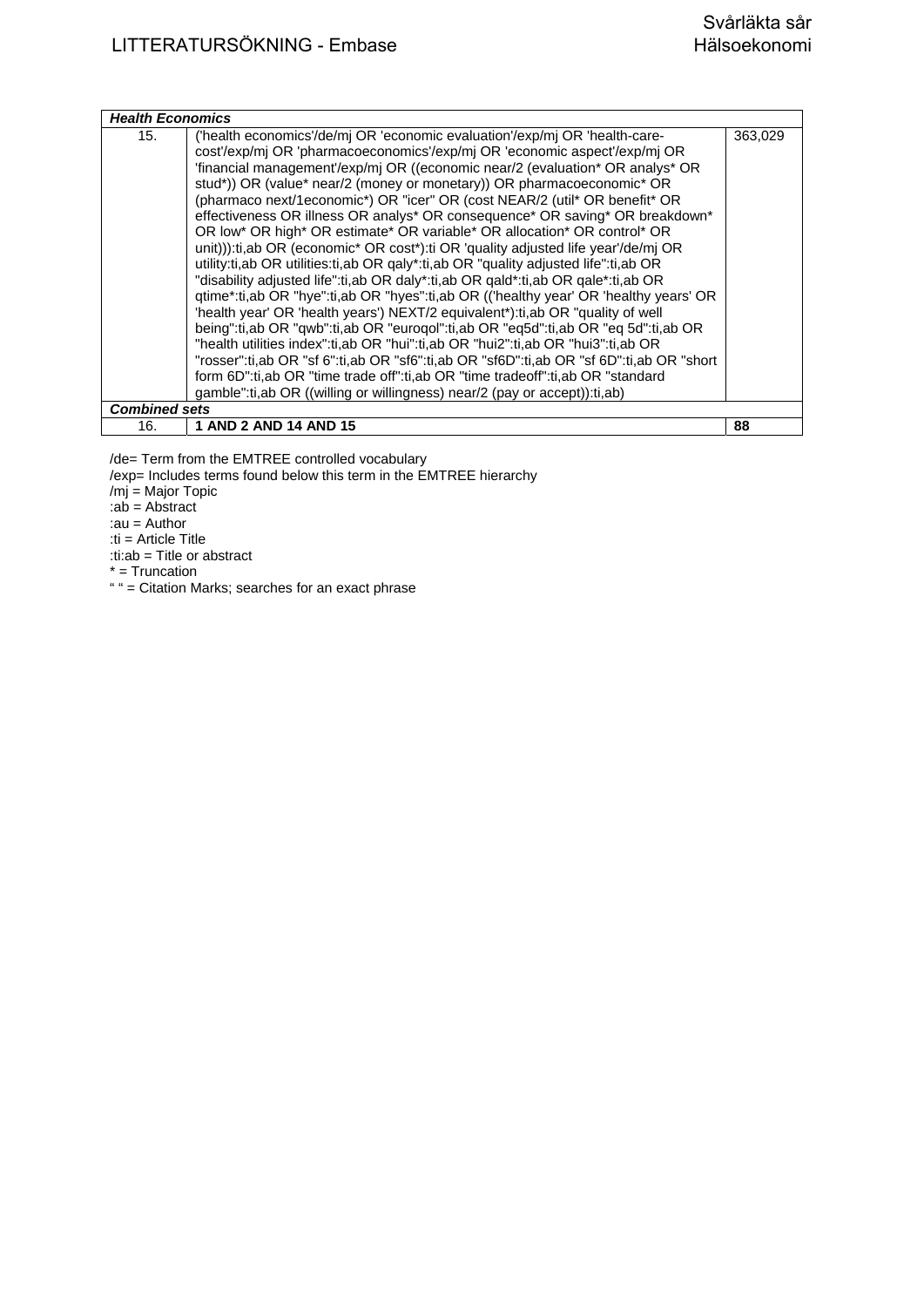| <b>Health Economics</b> |                                                                                          |         |
|-------------------------|------------------------------------------------------------------------------------------|---------|
| 15.                     | ('health economics'/de/mj OR 'economic evaluation'/exp/mj OR 'health-care-               | 363,029 |
|                         | cost'/exp/mj OR 'pharmacoeconomics'/exp/mj OR 'economic aspect'/exp/mj OR                |         |
|                         | 'financial management'/exp/mj OR ((economic near/2 (evaluation* OR analys* OR            |         |
|                         | stud*)) OR (value* near/2 (money or monetary)) OR pharmacoeconomic* OR                   |         |
|                         | (pharmaco next/1economic*) OR "icer" OR (cost NEAR/2 (util* OR benefit* OR               |         |
|                         | effectiveness OR illness OR analys* OR consequence* OR saving* OR breakdown*             |         |
|                         | OR low* OR high* OR estimate* OR variable* OR allocation* OR control* OR                 |         |
|                         | unit))):ti,ab OR (economic* OR cost*):ti OR 'quality adjusted life year'/de/mj OR        |         |
|                         | utility:ti,ab OR utilities:ti,ab OR galy*:ti,ab OR "quality adjusted life":ti,ab OR      |         |
|                         | "disability adjusted life":ti, ab OR daly*:ti, ab OR gald*:ti, ab OR gale*:ti, ab OR     |         |
|                         | qtime*:ti,ab OR "hye":ti,ab OR "hyes":ti,ab OR (('healthy year' OR 'healthy years' OR    |         |
|                         | 'health year' OR 'health years') NEXT/2 equivalent*):ti,ab OR "quality of well           |         |
|                         | being":ti,ab OR "qwb":ti,ab OR "eurogol":ti,ab OR "eq5d":ti,ab OR "eq 5d":ti,ab OR       |         |
|                         | "health utilities index":ti,ab OR "hui":ti,ab OR "hui2":ti,ab OR "hui3":ti,ab OR         |         |
|                         | "rosser":ti,ab OR "sf 6":ti,ab OR "sf6":ti,ab OR "sf6D":ti,ab OR "sf 6D":ti,ab OR "short |         |
|                         | form 6D":ti,ab OR "time trade off":ti,ab OR "time tradeoff":ti,ab OR "standard           |         |
|                         | gamble":ti,ab OR ((willing or willingness) near/2 (pay or accept)):ti,ab)                |         |
| <b>Combined sets</b>    |                                                                                          |         |
| 16.                     | 1 AND 2 AND 14 AND 15                                                                    | 88      |

/de= Term from the EMTREE controlled vocabulary

/exp= Includes terms found below this term in the EMTREE hierarchy

/mj = Major Topic

:ab = Abstract

:au = Author

:ti = Article Title

:ti:ab = Title or abstract

 $*$  = Truncation

" " = Citation Marks; searches for an exact phrase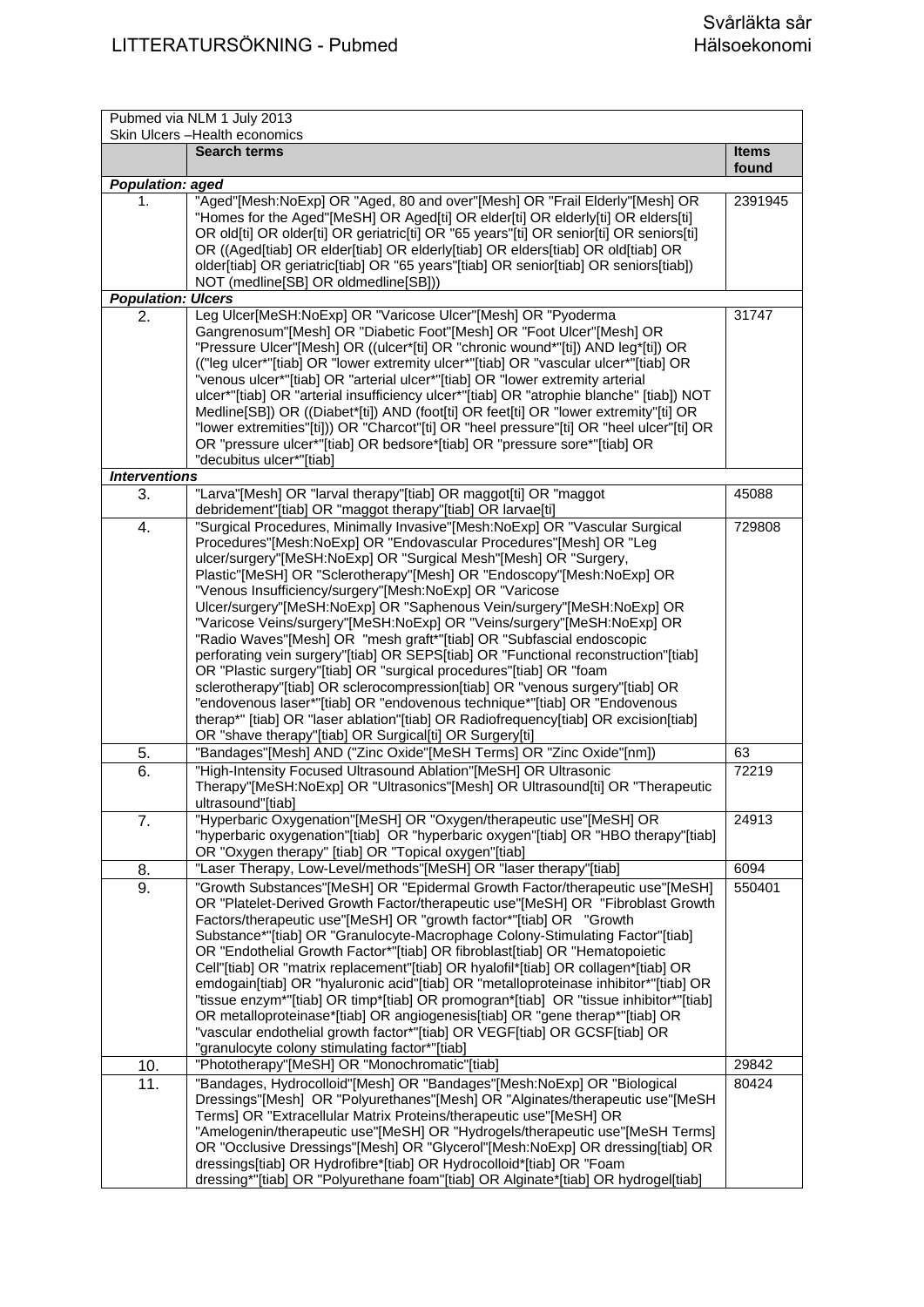| Pubmed via NLM 1 July 2013<br>Skin Ulcers - Health economics |                                                                                                                                                                                                                                                                                                                                                                                                                                                                                                                                                                                                                                                                                                                                                                                                                                                                                                                                                                                                                                                                                                                                                                                                                                                                                             |                       |
|--------------------------------------------------------------|---------------------------------------------------------------------------------------------------------------------------------------------------------------------------------------------------------------------------------------------------------------------------------------------------------------------------------------------------------------------------------------------------------------------------------------------------------------------------------------------------------------------------------------------------------------------------------------------------------------------------------------------------------------------------------------------------------------------------------------------------------------------------------------------------------------------------------------------------------------------------------------------------------------------------------------------------------------------------------------------------------------------------------------------------------------------------------------------------------------------------------------------------------------------------------------------------------------------------------------------------------------------------------------------|-----------------------|
|                                                              | <b>Search terms</b>                                                                                                                                                                                                                                                                                                                                                                                                                                                                                                                                                                                                                                                                                                                                                                                                                                                                                                                                                                                                                                                                                                                                                                                                                                                                         | <b>Items</b><br>found |
| <b>Population: aged</b>                                      |                                                                                                                                                                                                                                                                                                                                                                                                                                                                                                                                                                                                                                                                                                                                                                                                                                                                                                                                                                                                                                                                                                                                                                                                                                                                                             |                       |
| 1.                                                           | "Aged"[Mesh:NoExp] OR "Aged, 80 and over"[Mesh] OR "Frail Elderly"[Mesh] OR<br>"Homes for the Aged"[MeSH] OR Aged[ti] OR elder[ti] OR elderly[ti] OR elders[ti]<br>OR old[ti] OR older[ti] OR geriatric[ti] OR "65 years"[ti] OR senior[ti] OR seniors[ti]<br>OR ((Aged[tiab] OR elder[tiab] OR elderly[tiab] OR elders[tiab] OR old[tiab] OR<br>older[tiab] OR geriatric[tiab] OR "65 years"[tiab] OR senior[tiab] OR seniors[tiab])<br>NOT (medline[SB] OR oldmedline[SB]))                                                                                                                                                                                                                                                                                                                                                                                                                                                                                                                                                                                                                                                                                                                                                                                                               | 2391945               |
| <b>Population: Ulcers</b>                                    |                                                                                                                                                                                                                                                                                                                                                                                                                                                                                                                                                                                                                                                                                                                                                                                                                                                                                                                                                                                                                                                                                                                                                                                                                                                                                             |                       |
| 2.                                                           | Leg Ulcer[MeSH:NoExp] OR "Varicose Ulcer"[Mesh] OR "Pyoderma<br>Gangrenosum"[Mesh] OR "Diabetic Foot"[Mesh] OR "Foot Ulcer"[Mesh] OR<br>"Pressure Ulcer"[Mesh] OR ((ulcer*[ti] OR "chronic wound*"[ti]) AND leg*[ti]) OR<br>(("leg ulcer*"[tiab] OR "lower extremity ulcer*"[tiab] OR "vascular ulcer*"[tiab] OR<br>"venous ulcer*"[tiab] OR "arterial ulcer*"[tiab] OR "lower extremity arterial<br>ulcer*"[tiab] OR "arterial insufficiency ulcer*"[tiab] OR "atrophie blanche" [tiab]) NOT<br>Medline[SB]) OR ((Diabet*[ti]) AND (foot[ti] OR feet[ti] OR "lower extremity"[ti] OR<br>"lower extremities"[ti])) OR "Charcot"[ti] OR "heel pressure"[ti] OR "heel ulcer"[ti] OR<br>OR "pressure ulcer*"[tiab] OR bedsore*[tiab] OR "pressure sore*"[tiab] OR<br>"decubitus ulcer*"[tiab]                                                                                                                                                                                                                                                                                                                                                                                                                                                                                                  | 31747                 |
| <b>Interventions</b>                                         |                                                                                                                                                                                                                                                                                                                                                                                                                                                                                                                                                                                                                                                                                                                                                                                                                                                                                                                                                                                                                                                                                                                                                                                                                                                                                             |                       |
| 3.                                                           | "Larva"[Mesh] OR "larval therapy"[tiab] OR maggot[ti] OR "maggot<br>debridement"[tiab] OR "maggot therapy"[tiab] OR larvae[ti]                                                                                                                                                                                                                                                                                                                                                                                                                                                                                                                                                                                                                                                                                                                                                                                                                                                                                                                                                                                                                                                                                                                                                              | 45088                 |
| 4.<br>5.<br>6.                                               | "Surgical Procedures, Minimally Invasive"[Mesh:NoExp] OR "Vascular Surgical<br>Procedures"[Mesh:NoExp] OR "Endovascular Procedures"[Mesh] OR "Leg<br>ulcer/surgery"[MeSH:NoExp] OR "Surgical Mesh"[Mesh] OR "Surgery,<br>Plastic"[MeSH] OR "Sclerotherapy"[Mesh] OR "Endoscopy"[Mesh:NoExp] OR<br>"Venous Insufficiency/surgery"[Mesh:NoExp] OR "Varicose<br>Ulcer/surgery"[MeSH:NoExp] OR "Saphenous Vein/surgery"[MeSH:NoExp] OR<br>"Varicose Veins/surgery"[MeSH:NoExp] OR "Veins/surgery"[MeSH:NoExp] OR<br>"Radio Waves"[Mesh] OR "mesh graft*"[tiab] OR "Subfascial endoscopic<br>perforating vein surgery"[tiab] OR SEPS[tiab] OR "Functional reconstruction"[tiab]<br>OR "Plastic surgery"[tiab] OR "surgical procedures"[tiab] OR "foam<br>sclerotherapy"[tiab] OR sclerocompression[tiab] OR "venous surgery"[tiab] OR<br>"endovenous laser*"[tiab] OR "endovenous technique*"[tiab] OR "Endovenous<br>therap*" [tiab] OR "laser ablation"[tiab] OR Radiofrequency[tiab] OR excision[tiab]<br>OR "shave therapy"[tiab] OR Surgical[ti] OR Surgery[ti]<br>"Bandages"[Mesh] AND ("Zinc Oxide"[MeSH Terms] OR "Zinc Oxide"[nm])<br>"High-Intensity Focused Ultrasound Ablation"[MeSH] OR Ultrasonic<br>Therapy"[MeSH:NoExp] OR "Ultrasonics"[Mesh] OR Ultrasound[ti] OR "Therapeutic | 729808<br>63<br>72219 |
| 7.                                                           | ultrasound"[tiab]<br>"Hyperbaric Oxygenation"[MeSH] OR "Oxygen/therapeutic use"[MeSH] OR<br>"hyperbaric oxygenation"[tiab] OR "hyperbaric oxygen"[tiab] OR "HBO therapy"[tiab]                                                                                                                                                                                                                                                                                                                                                                                                                                                                                                                                                                                                                                                                                                                                                                                                                                                                                                                                                                                                                                                                                                              | 24913                 |
|                                                              | OR "Oxygen therapy" [tiab] OR "Topical oxygen"[tiab]                                                                                                                                                                                                                                                                                                                                                                                                                                                                                                                                                                                                                                                                                                                                                                                                                                                                                                                                                                                                                                                                                                                                                                                                                                        |                       |
| 8.                                                           | "Laser Therapy, Low-Level/methods"[MeSH] OR "laser therapy"[tiab]                                                                                                                                                                                                                                                                                                                                                                                                                                                                                                                                                                                                                                                                                                                                                                                                                                                                                                                                                                                                                                                                                                                                                                                                                           | 6094                  |
| 9.                                                           | "Growth Substances"[MeSH] OR "Epidermal Growth Factor/therapeutic use"[MeSH]<br>OR "Platelet-Derived Growth Factor/therapeutic use"[MeSH] OR "Fibroblast Growth<br>Factors/therapeutic use"[MeSH] OR "growth factor*"[tiab] OR "Growth<br>Substance*"[tiab] OR "Granulocyte-Macrophage Colony-Stimulating Factor"[tiab]<br>OR "Endothelial Growth Factor*"[tiab] OR fibroblast[tiab] OR "Hematopoietic<br>Cell"[tiab] OR "matrix replacement"[tiab] OR hyalofil*[tiab] OR collagen*[tiab] OR<br>emdogain[tiab] OR "hyaluronic acid"[tiab] OR "metalloproteinase inhibitor*"[tiab] OR<br>"tissue enzym*"[tiab] OR timp*[tiab] OR promogran*[tiab] OR "tissue inhibitor*"[tiab]<br>OR metalloproteinase*[tiab] OR angiogenesis[tiab] OR "gene therap*"[tiab] OR<br>"vascular endothelial growth factor*"[tiab] OR VEGF[tiab] OR GCSF[tiab] OR<br>"granulocyte colony stimulating factor*"[tiab]                                                                                                                                                                                                                                                                                                                                                                                               | 550401                |
| 10.                                                          | "Phototherapy"[MeSH] OR "Monochromatic"[tiab]                                                                                                                                                                                                                                                                                                                                                                                                                                                                                                                                                                                                                                                                                                                                                                                                                                                                                                                                                                                                                                                                                                                                                                                                                                               | 29842                 |
| $\overline{11}$ .                                            | "Bandages, Hydrocolloid"[Mesh] OR "Bandages"[Mesh:NoExp] OR "Biological<br>Dressings"[Mesh] OR "Polyurethanes"[Mesh] OR "Alginates/therapeutic use"[MeSH<br>Terms] OR "Extracellular Matrix Proteins/therapeutic use"[MeSH] OR<br>"Amelogenin/therapeutic use"[MeSH] OR "Hydrogels/therapeutic use"[MeSH Terms]<br>OR "Occlusive Dressings"[Mesh] OR "Glycerol"[Mesh:NoExp] OR dressing[tiab] OR<br>dressings[tiab] OR Hydrofibre*[tiab] OR Hydrocolloid*[tiab] OR "Foam<br>dressing*"[tiab] OR "Polyurethane foam"[tiab] OR Alginate*[tiab] OR hydrogel[tiab]                                                                                                                                                                                                                                                                                                                                                                                                                                                                                                                                                                                                                                                                                                                              | 80424                 |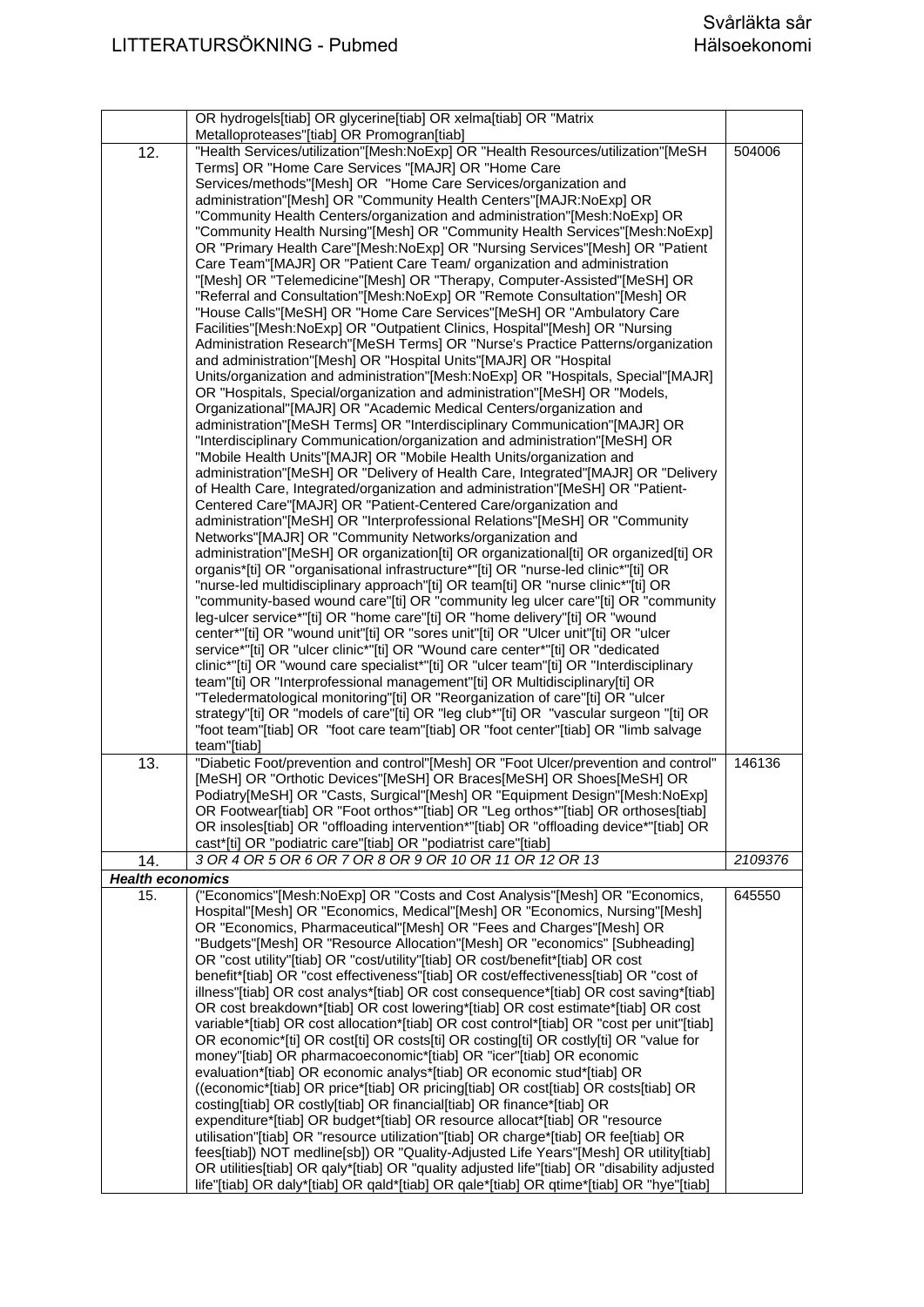|                         | OR hydrogels[tiab] OR glycerine[tiab] OR xelma[tiab] OR "Matrix                                                                                                                                                                                                                                                                                                                                                                                                                                                                                                                                                                                                                                                                                                                                                                                                                                                                                                                                                                                                                                                                                                                                                                                                                                                                                                                                                                                                                                                                                                                                                                   |         |
|-------------------------|-----------------------------------------------------------------------------------------------------------------------------------------------------------------------------------------------------------------------------------------------------------------------------------------------------------------------------------------------------------------------------------------------------------------------------------------------------------------------------------------------------------------------------------------------------------------------------------------------------------------------------------------------------------------------------------------------------------------------------------------------------------------------------------------------------------------------------------------------------------------------------------------------------------------------------------------------------------------------------------------------------------------------------------------------------------------------------------------------------------------------------------------------------------------------------------------------------------------------------------------------------------------------------------------------------------------------------------------------------------------------------------------------------------------------------------------------------------------------------------------------------------------------------------------------------------------------------------------------------------------------------------|---------|
| $\overline{1}2.$        | Metalloproteases"[tiab] OR Promogran[tiab]<br>"Health Services/utilization"[Mesh:NoExp] OR "Health Resources/utilization"[MeSH<br>Terms] OR "Home Care Services "[MAJR] OR "Home Care<br>Services/methods"[Mesh] OR "Home Care Services/organization and<br>administration"[Mesh] OR "Community Health Centers"[MAJR:NoExp] OR<br>"Community Health Centers/organization and administration"[Mesh:NoExp] OR<br>"Community Health Nursing"[Mesh] OR "Community Health Services"[Mesh:NoExp]<br>OR "Primary Health Care"[Mesh:NoExp] OR "Nursing Services"[Mesh] OR "Patient<br>Care Team"[MAJR] OR "Patient Care Team/ organization and administration<br>"[Mesh] OR "Telemedicine"[Mesh] OR "Therapy, Computer-Assisted"[MeSH] OR<br>"Referral and Consultation"[Mesh:NoExp] OR "Remote Consultation"[Mesh] OR<br>"House Calls"[MeSH] OR "Home Care Services"[MeSH] OR "Ambulatory Care<br>Facilities"[Mesh:NoExp] OR "Outpatient Clinics, Hospital"[Mesh] OR "Nursing                                                                                                                                                                                                                                                                                                                                                                                                                                                                                                                                                                                                                                                            | 504006  |
|                         | Administration Research"[MeSH Terms] OR "Nurse's Practice Patterns/organization<br>and administration"[Mesh] OR "Hospital Units"[MAJR] OR "Hospital<br>Units/organization and administration"[Mesh:NoExp] OR "Hospitals, Special"[MAJR]<br>OR "Hospitals, Special/organization and administration"[MeSH] OR "Models,                                                                                                                                                                                                                                                                                                                                                                                                                                                                                                                                                                                                                                                                                                                                                                                                                                                                                                                                                                                                                                                                                                                                                                                                                                                                                                              |         |
|                         | Organizational"[MAJR] OR "Academic Medical Centers/organization and<br>administration"[MeSH Terms] OR "Interdisciplinary Communication"[MAJR] OR<br>"Interdisciplinary Communication/organization and administration"[MeSH] OR<br>"Mobile Health Units"[MAJR] OR "Mobile Health Units/organization and<br>administration"[MeSH] OR "Delivery of Health Care, Integrated"[MAJR] OR "Delivery<br>of Health Care, Integrated/organization and administration"[MeSH] OR "Patient-                                                                                                                                                                                                                                                                                                                                                                                                                                                                                                                                                                                                                                                                                                                                                                                                                                                                                                                                                                                                                                                                                                                                                     |         |
|                         | Centered Care"[MAJR] OR "Patient-Centered Care/organization and<br>administration"[MeSH] OR "Interprofessional Relations"[MeSH] OR "Community<br>Networks"[MAJR] OR "Community Networks/organization and<br>administration"[MeSH] OR organization[ti] OR organizational[ti] OR organized[ti] OR<br>organis*[ti] OR "organisational infrastructure*"[ti] OR "nurse-led clinic*"[ti] OR                                                                                                                                                                                                                                                                                                                                                                                                                                                                                                                                                                                                                                                                                                                                                                                                                                                                                                                                                                                                                                                                                                                                                                                                                                             |         |
|                         | "nurse-led multidisciplinary approach"[ti] OR team[ti] OR "nurse clinic*"[ti] OR<br>"community-based wound care"[ti] OR "community leg ulcer care"[ti] OR "community<br>leg-ulcer service*"[ti] OR "home care"[ti] OR "home delivery"[ti] OR "wound<br>center*"[ti] OR "wound unit"[ti] OR "sores unit"[ti] OR "Ulcer unit"[ti] OR "ulcer<br>service*"[ti] OR "ulcer clinic*"[ti] OR "Wound care center*"[ti] OR "dedicated                                                                                                                                                                                                                                                                                                                                                                                                                                                                                                                                                                                                                                                                                                                                                                                                                                                                                                                                                                                                                                                                                                                                                                                                       |         |
|                         | clinic*"[ti] OR "wound care specialist*"[ti] OR "ulcer team"[ti] OR "Interdisciplinary<br>team"[ti] OR "Interprofessional management"[ti] OR Multidisciplinary[ti] OR<br>"Teledermatological monitoring"[ti] OR "Reorganization of care"[ti] OR "ulcer<br>strategy"[ti] OR "models of care"[ti] OR "leg club*"[ti] OR "vascular surgeon "[ti] OR<br>"foot team"[tiab] OR "foot care team"[tiab] OR "foot center"[tiab] OR "limb salvage<br>team"[tiab]                                                                                                                                                                                                                                                                                                                                                                                                                                                                                                                                                                                                                                                                                                                                                                                                                                                                                                                                                                                                                                                                                                                                                                            |         |
| 13.                     | "Diabetic Foot/prevention and control"[Mesh] OR "Foot Ulcer/prevention and control"<br>[MeSH] OR "Orthotic Devices"[MeSH] OR Braces[MeSH] OR Shoes[MeSH] OR<br>Podiatry[MeSH] OR "Casts, Surgical"[Mesh] OR "Equipment Design"[Mesh:NoExp]<br>OR Footwear[tiab] OR "Foot orthos*"[tiab] OR "Leg orthos*"[tiab] OR orthoses[tiab]<br>OR insoles[tiab] OR "offloading intervention*"[tiab] OR "offloading device*"[tiab] OR<br>cast*[ti] OR "podiatric care"[tiab] OR "podiatrist care"[tiab]                                                                                                                                                                                                                                                                                                                                                                                                                                                                                                                                                                                                                                                                                                                                                                                                                                                                                                                                                                                                                                                                                                                                       | 146136  |
| 14.                     | 3 OR 4 OR 5 OR 6 OR 7 OR 8 OR 9 OR 10 OR 11 OR 12 OR 13                                                                                                                                                                                                                                                                                                                                                                                                                                                                                                                                                                                                                                                                                                                                                                                                                                                                                                                                                                                                                                                                                                                                                                                                                                                                                                                                                                                                                                                                                                                                                                           | 2109376 |
| <b>Health economics</b> |                                                                                                                                                                                                                                                                                                                                                                                                                                                                                                                                                                                                                                                                                                                                                                                                                                                                                                                                                                                                                                                                                                                                                                                                                                                                                                                                                                                                                                                                                                                                                                                                                                   |         |
| 15.                     | ("Economics"[Mesh:NoExp] OR "Costs and Cost Analysis"[Mesh] OR "Economics,<br>Hospital"[Mesh] OR "Economics, Medical"[Mesh] OR "Economics, Nursing"[Mesh]<br>OR "Economics, Pharmaceutical"[Mesh] OR "Fees and Charges"[Mesh] OR<br>"Budgets"[Mesh] OR "Resource Allocation"[Mesh] OR "economics" [Subheading]<br>OR "cost utility"[tiab] OR "cost/utility"[tiab] OR cost/benefit*[tiab] OR cost<br>benefit*[tiab] OR "cost effectiveness"[tiab] OR cost/effectiveness[tiab] OR "cost of<br>illness"[tiab] OR cost analys*[tiab] OR cost consequence*[tiab] OR cost saving*[tiab]<br>OR cost breakdown*[tiab] OR cost lowering*[tiab] OR cost estimate*[tiab] OR cost<br>variable*[tiab] OR cost allocation*[tiab] OR cost control*[tiab] OR "cost per unit"[tiab]<br>OR economic*[ti] OR cost[ti] OR costs[ti] OR costing[ti] OR costly[ti] OR "value for<br>money"[tiab] OR pharmacoeconomic*[tiab] OR "icer"[tiab] OR economic<br>evaluation*[tiab] OR economic analys*[tiab] OR economic stud*[tiab] OR<br>((economic*[tiab] OR price*[tiab] OR pricing[tiab] OR cost[tiab] OR costs[tiab] OR<br>costing[tiab] OR costly[tiab] OR financial[tiab] OR finance*[tiab] OR<br>expenditure*[tiab] OR budget*[tiab] OR resource allocat*[tiab] OR "resource<br>utilisation"[tiab] OR "resource utilization"[tiab] OR charge*[tiab] OR fee[tiab] OR<br>fees[tiab]) NOT medline[sb]) OR "Quality-Adjusted Life Years"[Mesh] OR utility[tiab]<br>OR utilities[tiab] OR qaly*[tiab] OR "quality adjusted life"[tiab] OR "disability adjusted<br>life"[tiab] OR daly*[tiab] OR qald*[tiab] OR qale*[tiab] OR qtime*[tiab] OR "hye"[tiab] | 645550  |